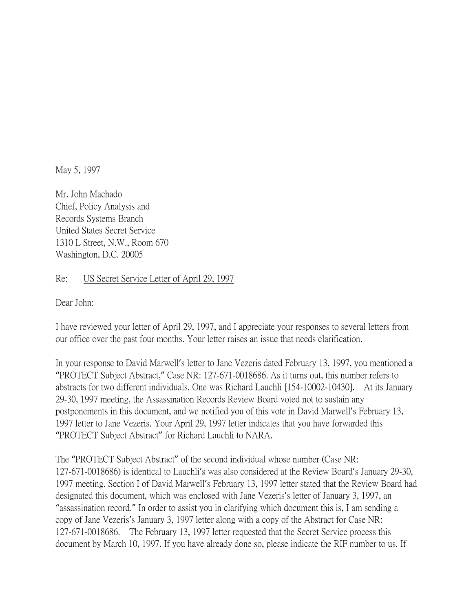May 5, 1997

Mr. John Machado Chief, Policy Analysis and Records Systems Branch United States Secret Service 1310 L Street, N.W., Room 670 Washington, D.C. 20005

## Re: US Secret Service Letter of April 29, 1997

Dear John:

I have reviewed your letter of April 29, 1997, and I appreciate your responses to several letters from our office over the past four months. Your letter raises an issue that needs clarification.

In your response to David Marwell's letter to Jane Vezeris dated February 13, 1997, you mentioned a "PROTECT Subject Abstract," Case NR: 127-671-0018686. As it turns out, this number refers to abstracts for two different individuals. One was Richard Lauchli [154-10002-10430]. At its January 29-30, 1997 meeting, the Assassination Records Review Board voted not to sustain any postponements in this document, and we notified you of this vote in David Marwell's February 13, 1997 letter to Jane Vezeris. Your April 29, 1997 letter indicates that you have forwarded this "PROTECT Subject Abstract" for Richard Lauchli to NARA.

The "PROTECT Subject Abstract" of the second individual whose number (Case NR: 127-671-0018686) is identical to Lauchli's was also considered at the Review Board's January 29-30, 1997 meeting. Section I of David Marwell's February 13, 1997 letter stated that the Review Board had designated this document, which was enclosed with Jane Vezeris's letter of January 3, 1997, an "assassination record." In order to assist you in clarifying which document this is, I am sending a copy of Jane Vezeris's January 3, 1997 letter along with a copy of the Abstract for Case NR: 127-671-0018686. The February 13, 1997 letter requested that the Secret Service process this document by March 10, 1997. If you have already done so, please indicate the RIF number to us. If